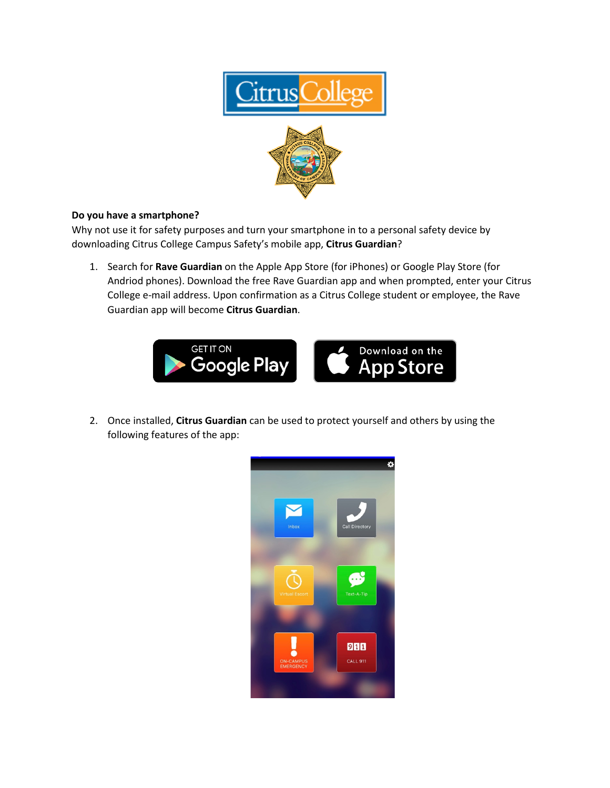

## **Do you have a smartphone?**

Why not use it for safety purposes and turn your smartphone in to a personal safety device by downloading Citrus College Campus Safety's mobile app, **Citrus Guardian**?

1. Search for **Rave Guardian** on the Apple App Store (for iPhones) or Google Play Store (for Andriod phones). Download the free Rave Guardian app and when prompted, enter your Citrus College e-mail address. Upon confirmation as a Citrus College student or employee, the Rave Guardian app will become **Citrus Guardian**.



2. Once installed, **Citrus Guardian** can be used to protect yourself and others by using the following features of the app: